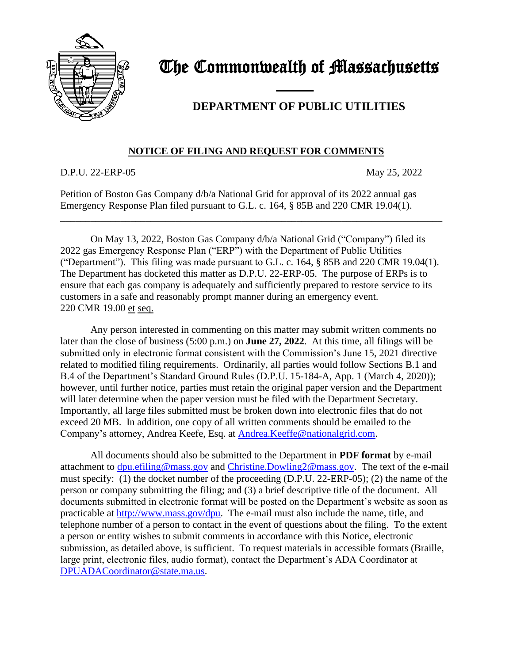

## The Commonwealth of Massachusetts

## **DEPARTMENT OF PUBLIC UTILITIES**

## **NOTICE OF FILING AND REQUEST FOR COMMENTS**

D.P.U. 22-ERP-05 May 25, 2022

Petition of Boston Gas Company d/b/a National Grid for approval of its 2022 annual gas Emergency Response Plan filed pursuant to G.L. c. 164, § 85B and 220 CMR 19.04(1).

and the contract of the contract of

On May 13, 2022, Boston Gas Company d/b/a National Grid ("Company") filed its 2022 gas Emergency Response Plan ("ERP") with the Department of Public Utilities ("Department"). This filing was made pursuant to G.L. c. 164, § 85B and 220 CMR 19.04(1). The Department has docketed this matter as D.P.U. 22-ERP-05. The purpose of ERPs is to ensure that each gas company is adequately and sufficiently prepared to restore service to its customers in a safe and reasonably prompt manner during an emergency event. 220 CMR 19.00 et seq.

\_\_\_\_\_\_\_\_\_\_\_\_\_\_\_\_\_\_\_\_\_\_\_\_\_\_\_\_\_\_\_\_\_\_\_\_\_\_\_\_\_\_\_\_\_\_\_\_\_\_\_\_\_\_\_\_\_\_\_\_\_\_\_\_\_\_\_\_\_\_\_\_\_\_\_\_

Any person interested in commenting on this matter may submit written comments no later than the close of business (5:00 p.m.) on **June 27, 2022**. At this time, all filings will be submitted only in electronic format consistent with the Commission's June 15, 2021 directive related to modified filing requirements. Ordinarily, all parties would follow Sections B.1 and B.4 of the Department's Standard Ground Rules (D.P.U. 15-184-A, App. 1 (March 4, 2020)); however, until further notice, parties must retain the original paper version and the Department will later determine when the paper version must be filed with the Department Secretary. Importantly, all large files submitted must be broken down into electronic files that do not exceed 20 MB. In addition, one copy of all written comments should be emailed to the Company's attorney, Andrea Keefe, Esq. at [Andrea.Keeffe@nationalgrid.com.](mailto:Andrea.Keeffe@nationalgrid.com)

All documents should also be submitted to the Department in **PDF format** by e-mail attachment to [dpu.efiling@mass.gov](mailto:dpu.efiling@mass.gov) and [Christine.Dowling2@mass.gov.](mailto:Lauren.Morris@mass.gov) The text of the e-mail must specify: (1) the docket number of the proceeding (D.P.U. 22-ERP-05); (2) the name of the person or company submitting the filing; and (3) a brief descriptive title of the document. All documents submitted in electronic format will be posted on the Department's website as soon as practicable at [http://www.mass.gov/dpu.](http://www.mass.gov/dpu) The e-mail must also include the name, title, and telephone number of a person to contact in the event of questions about the filing. To the extent a person or entity wishes to submit comments in accordance with this Notice, electronic submission, as detailed above, is sufficient. To request materials in accessible formats (Braille, large print, electronic files, audio format), contact the Department's ADA Coordinator at [DPUADACoordinator@state.ma.us.](file://///env.govt.state.ma.us/enterprise/DPU-SouthStation-WKGRP/SHARED/GRECs/2018%20GRECs%20(CY%202017%20recon)/18-GREC-06%20(NSTAR)/Notices/DPUADACoordinator@state.ma.us)